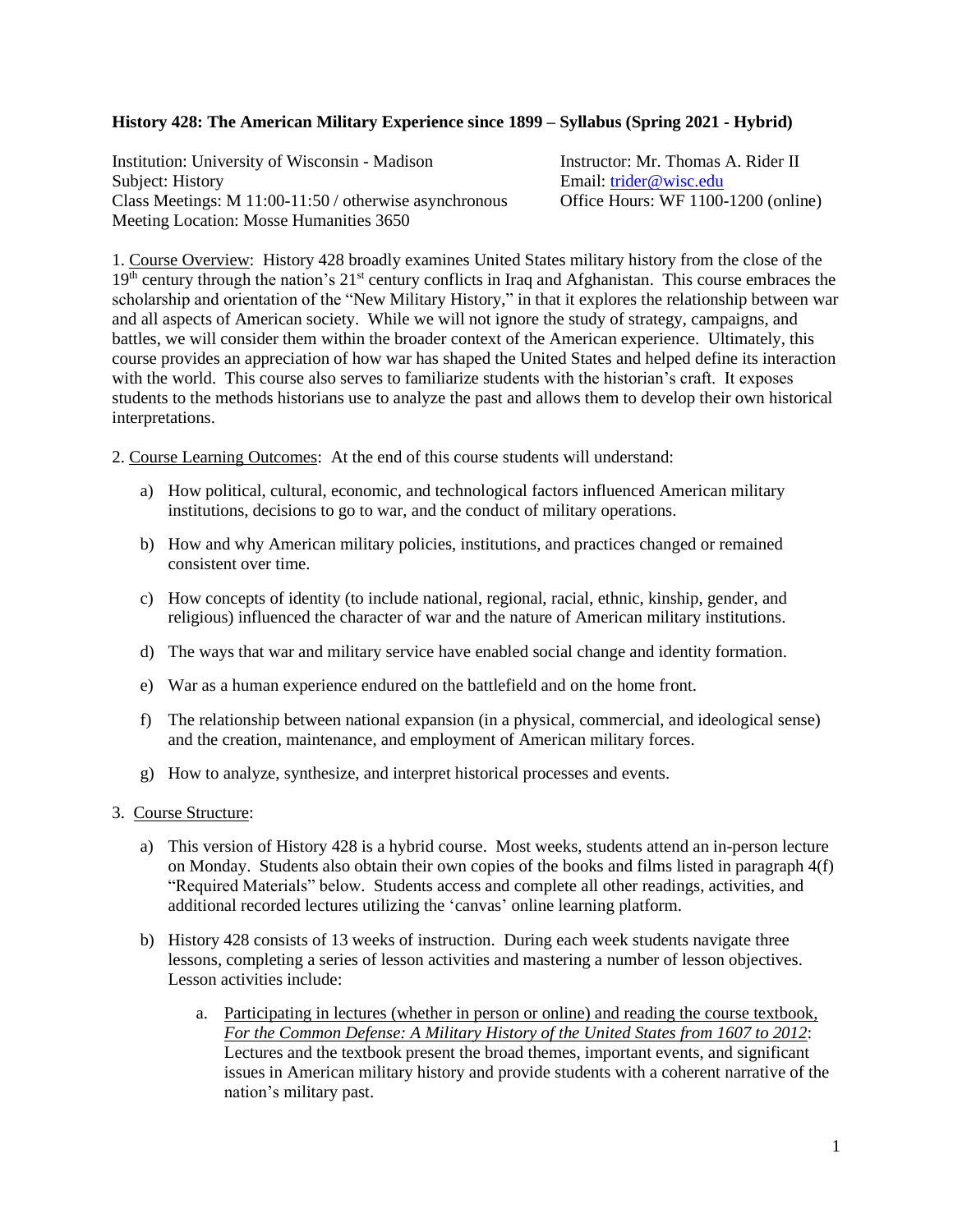### **History 428: The American Military Experience since 1899 – Syllabus (Spring 2021 - Hybrid)**

Institution: University of Wisconsin - Madison<br>
Instructor: Mr. Thomas A. Rider II<br>
Email: trider@wisc.edu<br>
Email: trider@wisc.edu Class Meetings: M 11:00-11:50 / otherwise asynchronous Office Hours: WF 1100-1200 (online) Meeting Location: Mosse Humanities 3650

Email: [trider@wisc.edu](mailto:trider@wisc.edu)

1. Course Overview: History 428 broadly examines United States military history from the close of the 19<sup>th</sup> century through the nation's 21<sup>st</sup> century conflicts in Iraq and Afghanistan. This course embraces the scholarship and orientation of the "New Military History," in that it explores the relationship between war and all aspects of American society. While we will not ignore the study of strategy, campaigns, and battles, we will consider them within the broader context of the American experience. Ultimately, this course provides an appreciation of how war has shaped the United States and helped define its interaction with the world. This course also serves to familiarize students with the historian's craft. It exposes students to the methods historians use to analyze the past and allows them to develop their own historical interpretations.

2. Course Learning Outcomes: At the end of this course students will understand:

- a) How political, cultural, economic, and technological factors influenced American military institutions, decisions to go to war, and the conduct of military operations.
- b) How and why American military policies, institutions, and practices changed or remained consistent over time.
- c) How concepts of identity (to include national, regional, racial, ethnic, kinship, gender, and religious) influenced the character of war and the nature of American military institutions.
- d) The ways that war and military service have enabled social change and identity formation.
- e) War as a human experience endured on the battlefield and on the home front.
- f) The relationship between national expansion (in a physical, commercial, and ideological sense) and the creation, maintenance, and employment of American military forces.
- g) How to analyze, synthesize, and interpret historical processes and events.
- 3. Course Structure:
	- a) This version of History 428 is a hybrid course. Most weeks, students attend an in-person lecture on Monday. Students also obtain their own copies of the books and films listed in paragraph 4(f) "Required Materials" below. Students access and complete all other readings, activities, and additional recorded lectures utilizing the 'canvas' online learning platform.
	- b) History 428 consists of 13 weeks of instruction. During each week students navigate three lessons, completing a series of lesson activities and mastering a number of lesson objectives. Lesson activities include:
		- a. Participating in lectures (whether in person or online) and reading the course textbook, *For the Common Defense: A Military History of the United States from 1607 to 2012*: Lectures and the textbook present the broad themes, important events, and significant issues in American military history and provide students with a coherent narrative of the nation's military past.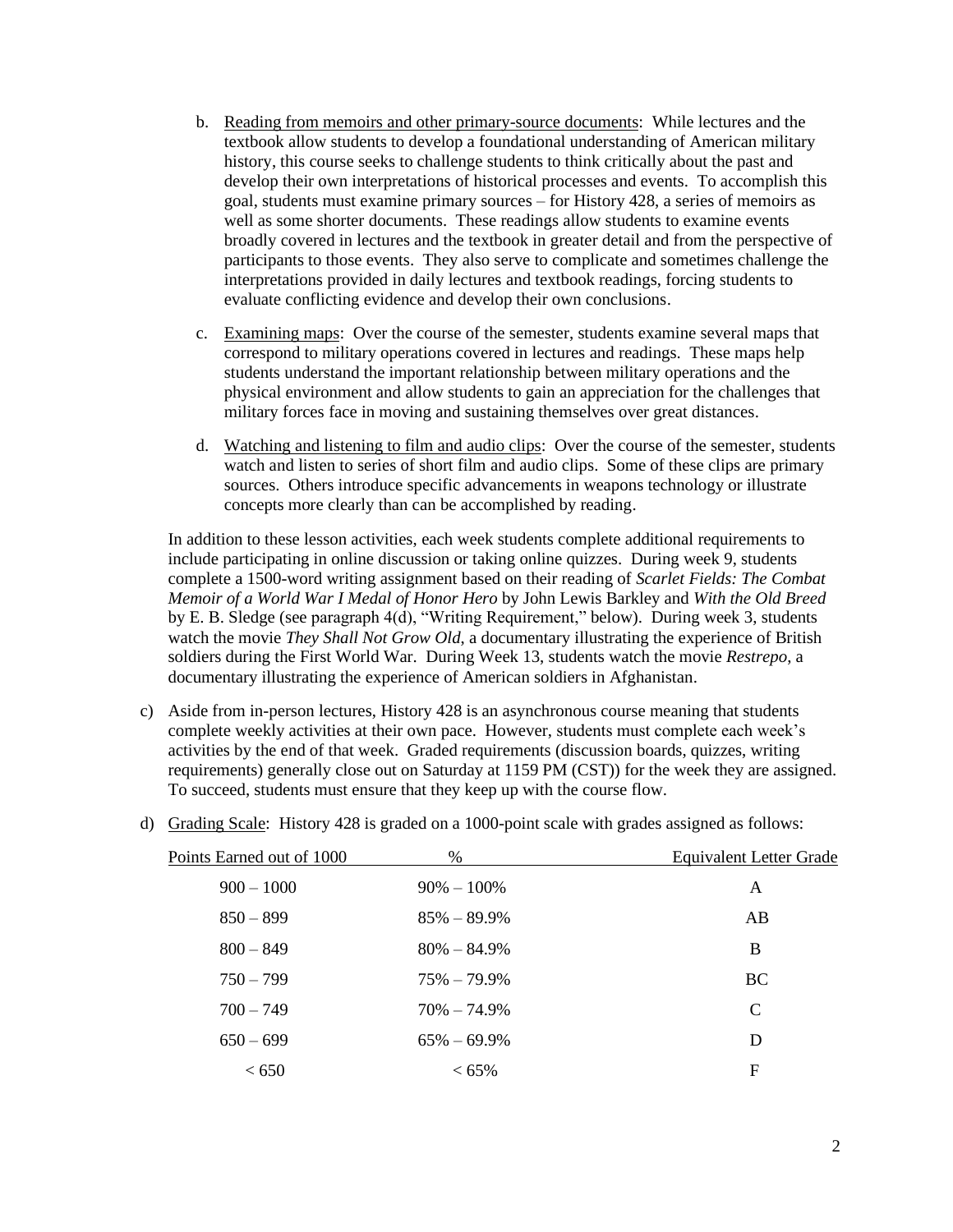- b. Reading from memoirs and other primary-source documents: While lectures and the textbook allow students to develop a foundational understanding of American military history, this course seeks to challenge students to think critically about the past and develop their own interpretations of historical processes and events. To accomplish this goal, students must examine primary sources – for History 428, a series of memoirs as well as some shorter documents. These readings allow students to examine events broadly covered in lectures and the textbook in greater detail and from the perspective of participants to those events. They also serve to complicate and sometimes challenge the interpretations provided in daily lectures and textbook readings, forcing students to evaluate conflicting evidence and develop their own conclusions.
- c. Examining maps: Over the course of the semester, students examine several maps that correspond to military operations covered in lectures and readings. These maps help students understand the important relationship between military operations and the physical environment and allow students to gain an appreciation for the challenges that military forces face in moving and sustaining themselves over great distances.
- d. Watching and listening to film and audio clips: Over the course of the semester, students watch and listen to series of short film and audio clips. Some of these clips are primary sources. Others introduce specific advancements in weapons technology or illustrate concepts more clearly than can be accomplished by reading.

In addition to these lesson activities, each week students complete additional requirements to include participating in online discussion or taking online quizzes. During week 9, students complete a 1500-word writing assignment based on their reading of *Scarlet Fields: The Combat Memoir of a World War I Medal of Honor Hero* by John Lewis Barkley and *With the Old Breed* by E. B. Sledge (see paragraph 4(d), "Writing Requirement," below). During week 3, students watch the movie *They Shall Not Grow Old*, a documentary illustrating the experience of British soldiers during the First World War. During Week 13, students watch the movie *Restrepo*, a documentary illustrating the experience of American soldiers in Afghanistan.

c) Aside from in-person lectures, History 428 is an asynchronous course meaning that students complete weekly activities at their own pace. However, students must complete each week's activities by the end of that week. Graded requirements (discussion boards, quizzes, writing requirements) generally close out on Saturday at 1159 PM (CST)) for the week they are assigned. To succeed, students must ensure that they keep up with the course flow.

| Points Earned out of 1000 | %               | <b>Equivalent Letter Grade</b> |
|---------------------------|-----------------|--------------------------------|
| $900 - 1000$              | $90\% - 100\%$  | A                              |
| $850 - 899$               | $85\% - 89.9\%$ | AB                             |
| $800 - 849$               | $80\% - 84.9\%$ | B                              |
| $750 - 799$               | $75\% - 79.9\%$ | <b>BC</b>                      |
| $700 - 749$               | $70\% - 74.9\%$ | $\mathcal{C}$                  |
| $650 - 699$               | $65\% - 69.9\%$ | D                              |
| < 650                     | $< 65\%$        | F                              |
|                           |                 |                                |

d) Grading Scale: History 428 is graded on a 1000-point scale with grades assigned as follows: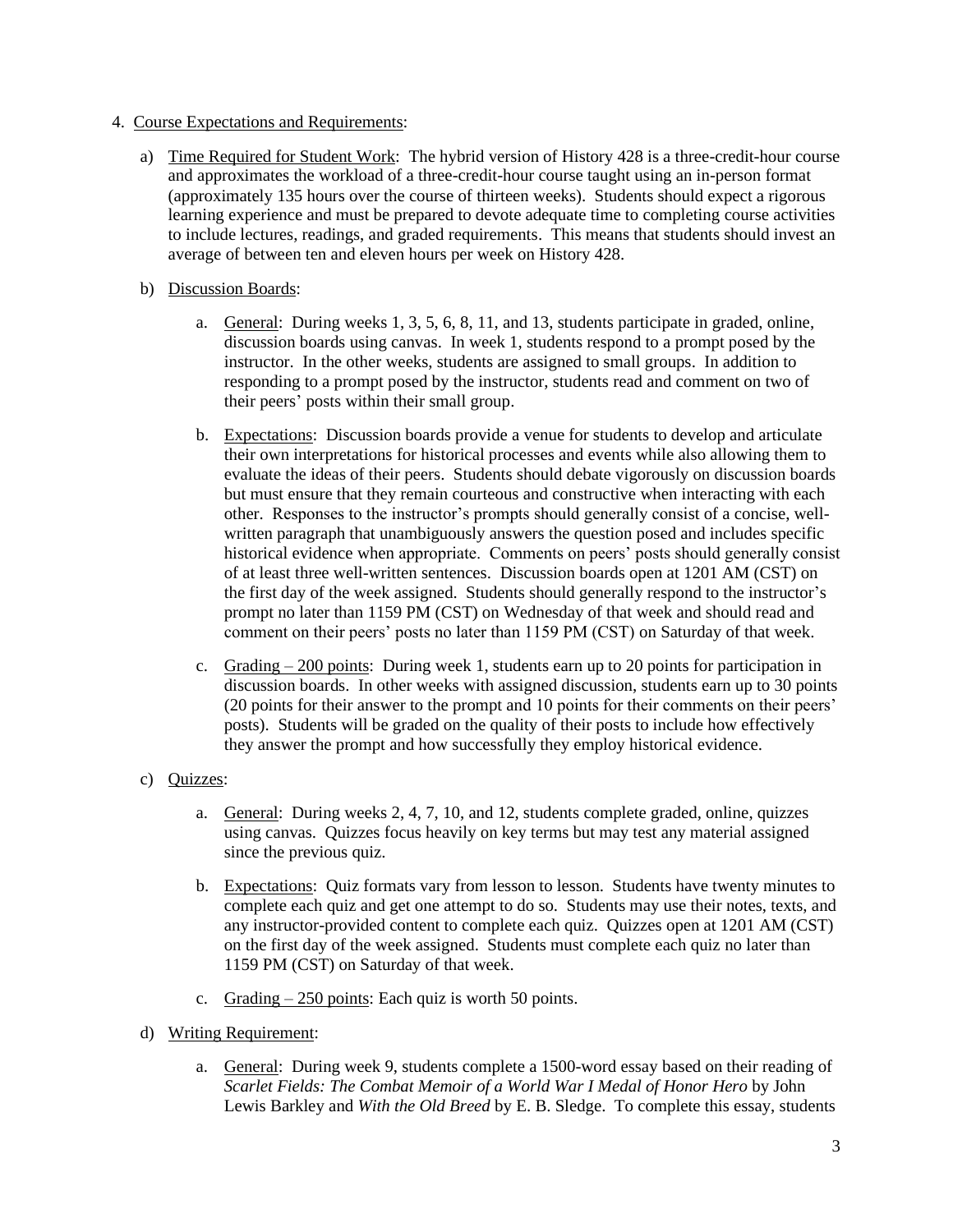- 4. Course Expectations and Requirements:
	- a) Time Required for Student Work: The hybrid version of History 428 is a three-credit-hour course and approximates the workload of a three-credit-hour course taught using an in-person format (approximately 135 hours over the course of thirteen weeks). Students should expect a rigorous learning experience and must be prepared to devote adequate time to completing course activities to include lectures, readings, and graded requirements. This means that students should invest an average of between ten and eleven hours per week on History 428.
	- b) Discussion Boards:
		- a. General: During weeks 1, 3, 5, 6, 8, 11, and 13, students participate in graded, online, discussion boards using canvas. In week 1, students respond to a prompt posed by the instructor. In the other weeks, students are assigned to small groups. In addition to responding to a prompt posed by the instructor, students read and comment on two of their peers' posts within their small group.
		- b. Expectations: Discussion boards provide a venue for students to develop and articulate their own interpretations for historical processes and events while also allowing them to evaluate the ideas of their peers. Students should debate vigorously on discussion boards but must ensure that they remain courteous and constructive when interacting with each other. Responses to the instructor's prompts should generally consist of a concise, wellwritten paragraph that unambiguously answers the question posed and includes specific historical evidence when appropriate. Comments on peers' posts should generally consist of at least three well-written sentences. Discussion boards open at 1201 AM (CST) on the first day of the week assigned. Students should generally respond to the instructor's prompt no later than 1159 PM (CST) on Wednesday of that week and should read and comment on their peers' posts no later than 1159 PM (CST) on Saturday of that week.
		- c. Grading  $-200$  points: During week 1, students earn up to 20 points for participation in discussion boards. In other weeks with assigned discussion, students earn up to 30 points (20 points for their answer to the prompt and 10 points for their comments on their peers' posts). Students will be graded on the quality of their posts to include how effectively they answer the prompt and how successfully they employ historical evidence.
	- c) Quizzes:
		- a. General: During weeks 2, 4, 7, 10, and 12, students complete graded, online, quizzes using canvas. Quizzes focus heavily on key terms but may test any material assigned since the previous quiz.
		- b. Expectations: Quiz formats vary from lesson to lesson. Students have twenty minutes to complete each quiz and get one attempt to do so. Students may use their notes, texts, and any instructor-provided content to complete each quiz. Quizzes open at 1201 AM (CST) on the first day of the week assigned. Students must complete each quiz no later than 1159 PM (CST) on Saturday of that week.
		- c. Grading  $-250$  points: Each quiz is worth 50 points.
	- d) Writing Requirement:
		- a. General: During week 9, students complete a 1500-word essay based on their reading of *Scarlet Fields: The Combat Memoir of a World War I Medal of Honor Hero* by John Lewis Barkley and *With the Old Breed* by E. B. Sledge. To complete this essay, students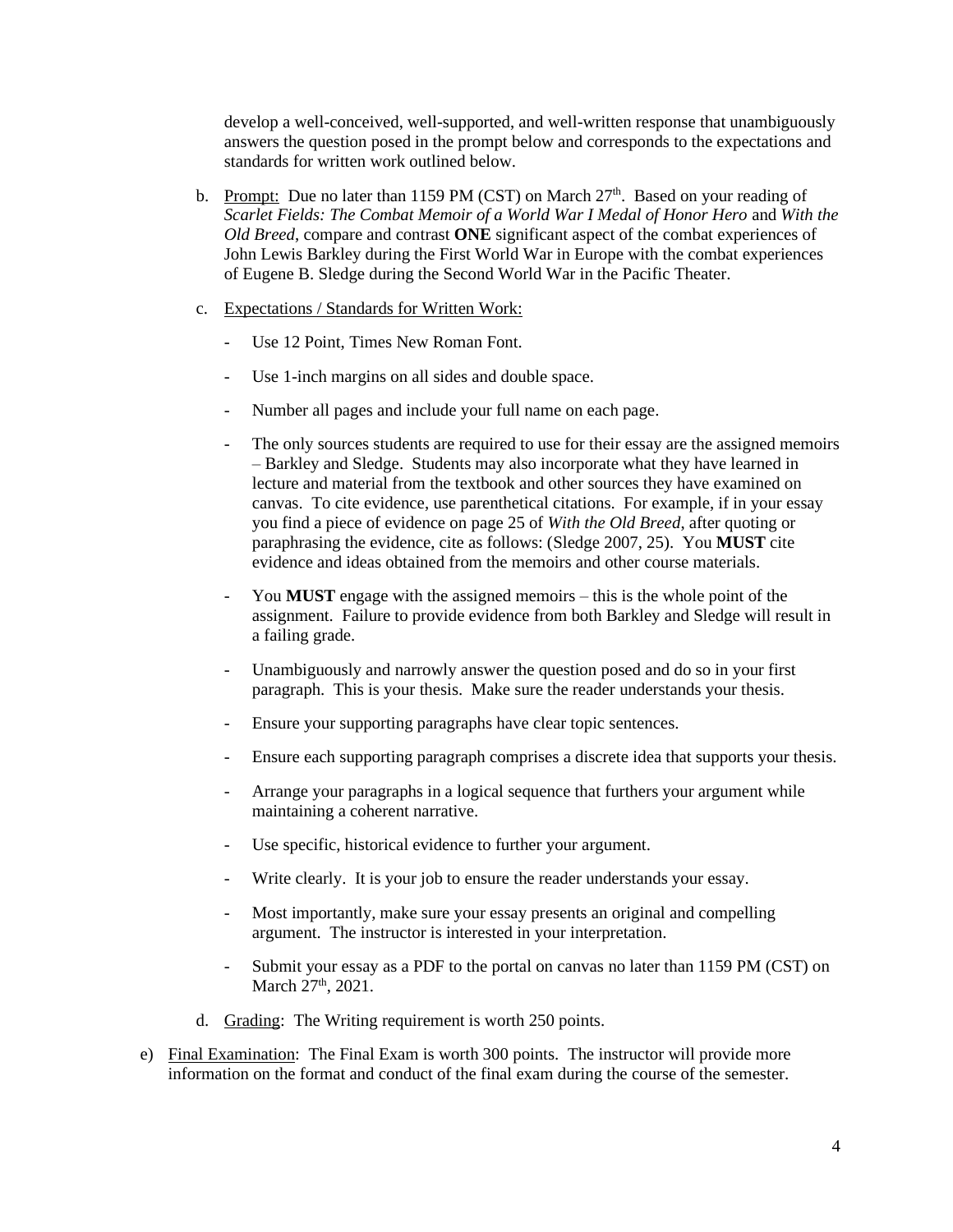develop a well-conceived, well-supported, and well-written response that unambiguously answers the question posed in the prompt below and corresponds to the expectations and standards for written work outlined below.

- b. Prompt: Due no later than 1159 PM (CST) on March  $27<sup>th</sup>$ . Based on your reading of *Scarlet Fields: The Combat Memoir of a World War I Medal of Honor Hero* and *With the Old Breed*, compare and contrast **ONE** significant aspect of the combat experiences of John Lewis Barkley during the First World War in Europe with the combat experiences of Eugene B. Sledge during the Second World War in the Pacific Theater.
- c. Expectations / Standards for Written Work:
	- Use 12 Point, Times New Roman Font.
	- Use 1-inch margins on all sides and double space.
	- Number all pages and include your full name on each page.
	- The only sources students are required to use for their essay are the assigned memoirs – Barkley and Sledge. Students may also incorporate what they have learned in lecture and material from the textbook and other sources they have examined on canvas. To cite evidence, use parenthetical citations. For example, if in your essay you find a piece of evidence on page 25 of *With the Old Breed*, after quoting or paraphrasing the evidence, cite as follows: (Sledge 2007, 25). You **MUST** cite evidence and ideas obtained from the memoirs and other course materials.
	- You **MUST** engage with the assigned memoirs this is the whole point of the assignment. Failure to provide evidence from both Barkley and Sledge will result in a failing grade.
	- Unambiguously and narrowly answer the question posed and do so in your first paragraph. This is your thesis. Make sure the reader understands your thesis.
	- Ensure your supporting paragraphs have clear topic sentences.
	- Ensure each supporting paragraph comprises a discrete idea that supports your thesis.
	- Arrange your paragraphs in a logical sequence that furthers your argument while maintaining a coherent narrative.
	- Use specific, historical evidence to further your argument.
	- Write clearly. It is your job to ensure the reader understands your essay.
	- Most importantly, make sure your essay presents an original and compelling argument. The instructor is interested in your interpretation.
	- Submit your essay as a PDF to the portal on canvas no later than 1159 PM (CST) on March 27<sup>th</sup>, 2021.
- d. Grading: The Writing requirement is worth 250 points.
- e) Final Examination: The Final Exam is worth 300 points. The instructor will provide more information on the format and conduct of the final exam during the course of the semester.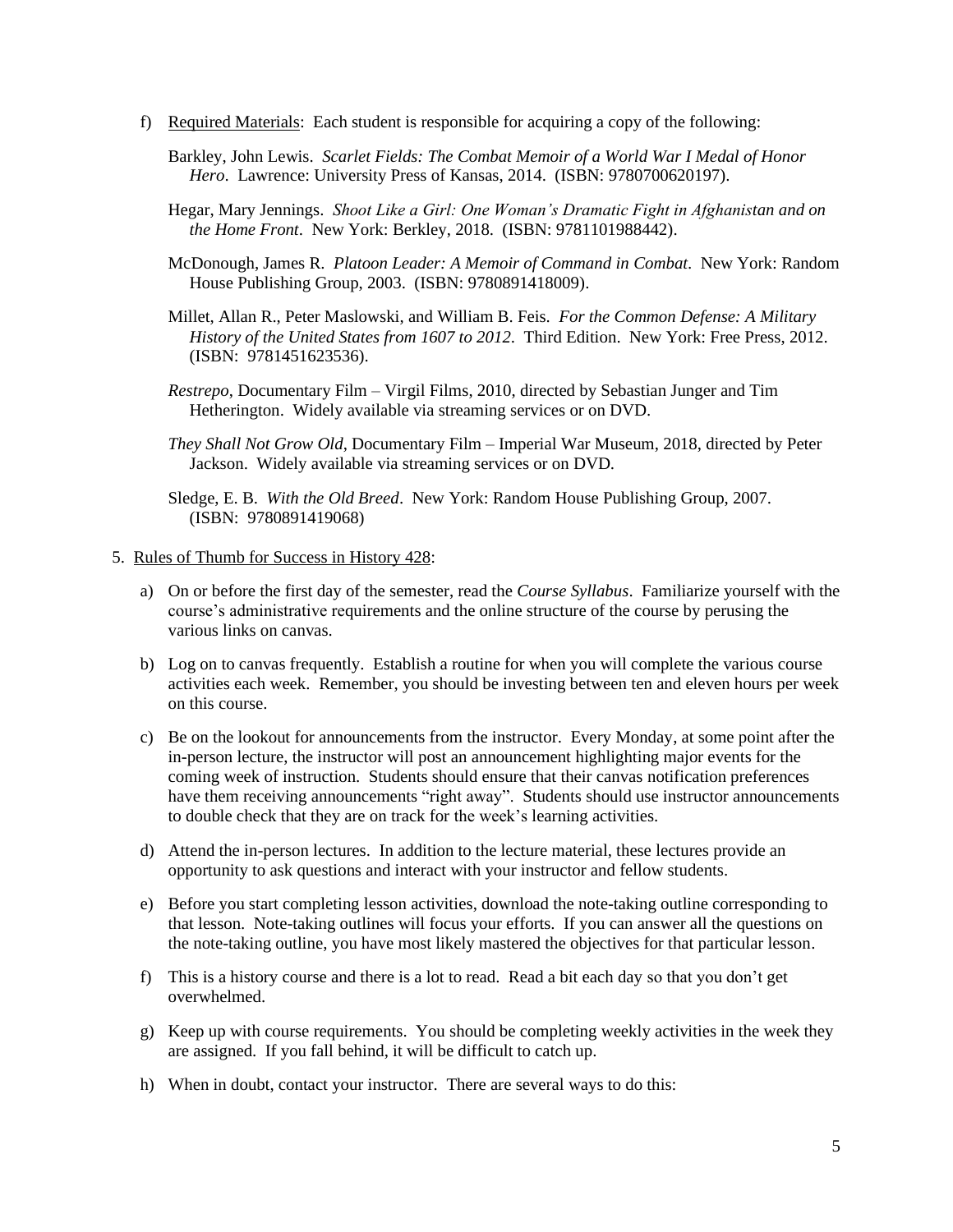- f) Required Materials: Each student is responsible for acquiring a copy of the following:
	- Barkley, John Lewis. *Scarlet Fields: The Combat Memoir of a World War I Medal of Honor Hero*. Lawrence: University Press of Kansas, 2014. (ISBN: 9780700620197).
	- Hegar, Mary Jennings. *Shoot Like a Girl: One Woman's Dramatic Fight in Afghanistan and on the Home Front*. New York: Berkley, 2018. (ISBN: 9781101988442).
	- McDonough, James R. *Platoon Leader: A Memoir of Command in Combat*. New York: Random House Publishing Group, 2003. (ISBN: 9780891418009).
	- Millet, Allan R., Peter Maslowski, and William B. Feis. *For the Common Defense: A Military History of the United States from 1607 to 2012*. Third Edition. New York: Free Press, 2012. (ISBN: 9781451623536).
	- *Restrepo*, Documentary Film Virgil Films, 2010, directed by Sebastian Junger and Tim Hetherington. Widely available via streaming services or on DVD.
	- *They Shall Not Grow Old*, Documentary Film Imperial War Museum, 2018, directed by Peter Jackson. Widely available via streaming services or on DVD.
	- Sledge, E. B. *With the Old Breed*. New York: Random House Publishing Group, 2007. (ISBN: 9780891419068)
- 5. Rules of Thumb for Success in History 428:
	- a) On or before the first day of the semester, read the *Course Syllabus*. Familiarize yourself with the course's administrative requirements and the online structure of the course by perusing the various links on canvas.
	- b) Log on to canvas frequently. Establish a routine for when you will complete the various course activities each week. Remember, you should be investing between ten and eleven hours per week on this course.
	- c) Be on the lookout for announcements from the instructor. Every Monday, at some point after the in-person lecture, the instructor will post an announcement highlighting major events for the coming week of instruction. Students should ensure that their canvas notification preferences have them receiving announcements "right away". Students should use instructor announcements to double check that they are on track for the week's learning activities.
	- d) Attend the in-person lectures. In addition to the lecture material, these lectures provide an opportunity to ask questions and interact with your instructor and fellow students.
	- e) Before you start completing lesson activities, download the note-taking outline corresponding to that lesson. Note-taking outlines will focus your efforts. If you can answer all the questions on the note-taking outline, you have most likely mastered the objectives for that particular lesson.
	- f) This is a history course and there is a lot to read. Read a bit each day so that you don't get overwhelmed.
	- g) Keep up with course requirements. You should be completing weekly activities in the week they are assigned. If you fall behind, it will be difficult to catch up.
	- h) When in doubt, contact your instructor. There are several ways to do this: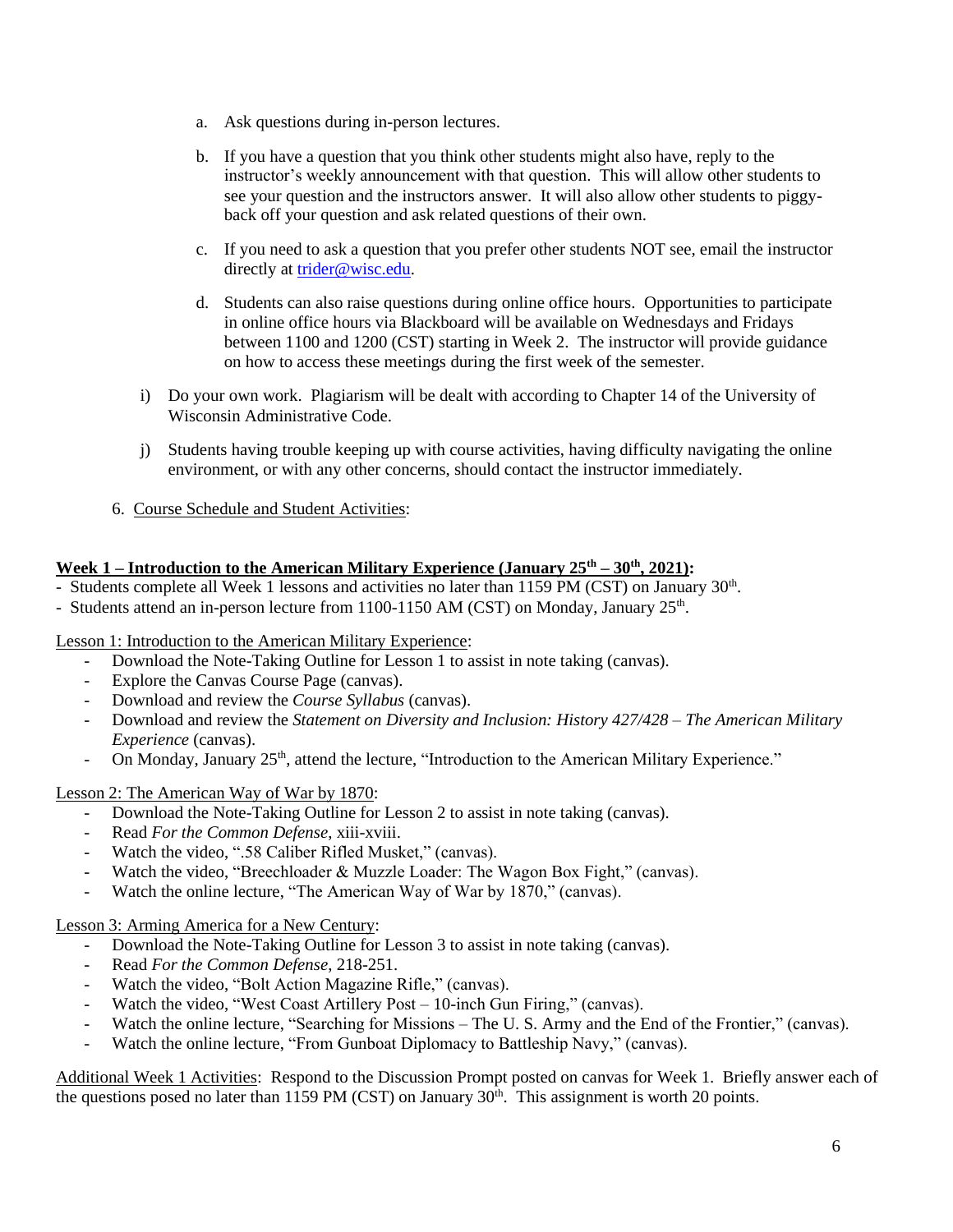- a. Ask questions during in-person lectures.
- b. If you have a question that you think other students might also have, reply to the instructor's weekly announcement with that question. This will allow other students to see your question and the instructors answer. It will also allow other students to piggyback off your question and ask related questions of their own.
- c. If you need to ask a question that you prefer other students NOT see, email the instructor directly at [trider@wisc.edu.](mailto:trider@wisc.edu)
- d. Students can also raise questions during online office hours. Opportunities to participate in online office hours via Blackboard will be available on Wednesdays and Fridays between 1100 and 1200 (CST) starting in Week 2. The instructor will provide guidance on how to access these meetings during the first week of the semester.
- i) Do your own work. Plagiarism will be dealt with according to Chapter 14 of the University of Wisconsin Administrative Code.
- j) Students having trouble keeping up with course activities, having difficulty navigating the online environment, or with any other concerns, should contact the instructor immediately.
- 6. Course Schedule and Student Activities:

## **Week 1 – Introduction to the American Military Experience (January 25th – 30th, 2021):**

- Students complete all Week 1 lessons and activities no later than 1159 PM (CST) on January 30<sup>th</sup>.

- Students attend an in-person lecture from 1100-1150 AM (CST) on Monday, January 25<sup>th</sup>.

Lesson 1: Introduction to the American Military Experience:

- Download the Note-Taking Outline for Lesson 1 to assist in note taking (canvas).
- Explore the Canvas Course Page (canvas).
- Download and review the *Course Syllabus* (canvas).
- Download and review the *Statement on Diversity and Inclusion: History 427/428 – The American Military Experience* (canvas).
- On Monday, January 25<sup>th</sup>, attend the lecture, "Introduction to the American Military Experience."

## Lesson 2: The American Way of War by 1870:

- Download the Note-Taking Outline for Lesson 2 to assist in note taking (canvas).
- Read *For the Common Defense*, xiii-xviii.
- Watch the video, ".58 Caliber Rifled Musket," (canvas).
- Watch the video, "Breechloader & Muzzle Loader: The Wagon Box Fight," (canvas).
- Watch the online lecture, "The American Way of War by 1870," (canvas).

#### Lesson 3: Arming America for a New Century:

- Download the Note-Taking Outline for Lesson 3 to assist in note taking (canvas).
- Read *For the Common Defense*, 218-251.
- Watch the video, "Bolt Action Magazine Rifle," (canvas).
- Watch the video, "West Coast Artillery Post 10-inch Gun Firing," (canvas).
- Watch the online lecture, "Searching for Missions The U.S. Army and the End of the Frontier," (canvas).
- Watch the online lecture, "From Gunboat Diplomacy to Battleship Navy," (canvas).

Additional Week 1 Activities: Respond to the Discussion Prompt posted on canvas for Week 1. Briefly answer each of the questions posed no later than 1159 PM (CST) on January  $30<sup>th</sup>$ . This assignment is worth 20 points.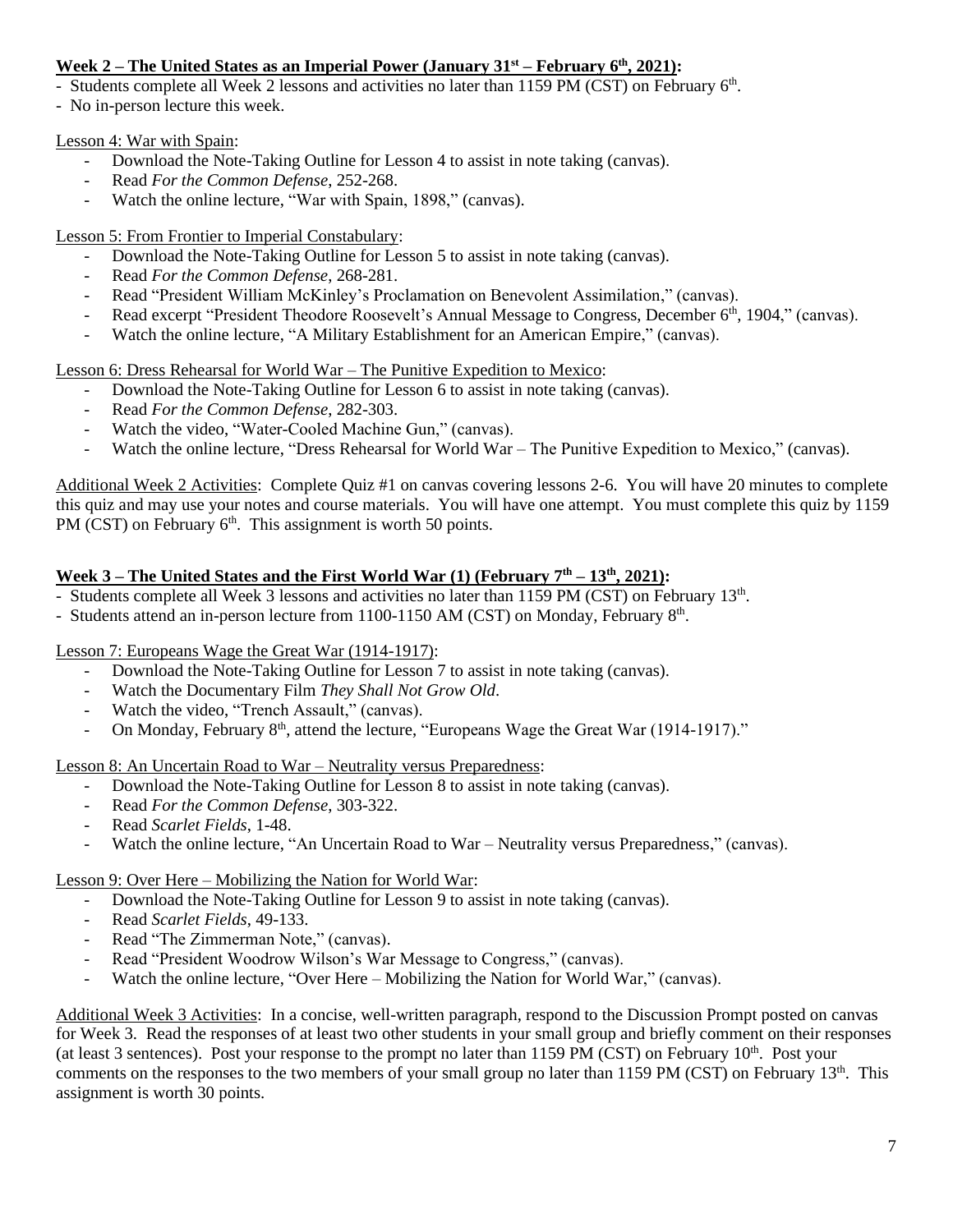## **Week 2 – The United States as an Imperial Power (January 31st – February 6th, 2021):**

- Students complete all Week 2 lessons and activities no later than 1159 PM (CST) on February 6<sup>th</sup>.

- No in-person lecture this week.

Lesson 4: War with Spain:

- Download the Note-Taking Outline for Lesson 4 to assist in note taking (canvas).
- Read *For the Common Defense*, 252-268.
- Watch the online lecture, "War with Spain, 1898," (canvas).

Lesson 5: From Frontier to Imperial Constabulary:

- Download the Note-Taking Outline for Lesson 5 to assist in note taking (canvas).
- Read *For the Common Defense*, 268-281.
- Read "President William McKinley's Proclamation on Benevolent Assimilation," (canvas).
- Read excerpt "President Theodore Roosevelt's Annual Message to Congress, December 6<sup>th</sup>, 1904," (canvas).
- Watch the online lecture, "A Military Establishment for an American Empire," (canvas).

Lesson 6: Dress Rehearsal for World War – The Punitive Expedition to Mexico:

- Download the Note-Taking Outline for Lesson 6 to assist in note taking (canvas).
- Read *For the Common Defense*, 282-303.
- Watch the video, "Water-Cooled Machine Gun," (canvas).
- Watch the online lecture, "Dress Rehearsal for World War The Punitive Expedition to Mexico," (canvas).

Additional Week 2 Activities: Complete Quiz #1 on canvas covering lessons 2-6. You will have 20 minutes to complete this quiz and may use your notes and course materials. You will have one attempt. You must complete this quiz by 1159 PM (CST) on February  $6<sup>th</sup>$ . This assignment is worth 50 points.

## **Week 3 – The United States and the First World War (1) (February 7th – 13th, 2021):**

- Students complete all Week 3 lessons and activities no later than 1159 PM (CST) on February 13<sup>th</sup>.
- Students attend an in-person lecture from 1100-1150 AM (CST) on Monday, February 8<sup>th</sup>.

Lesson 7: Europeans Wage the Great War (1914-1917):

- Download the Note-Taking Outline for Lesson 7 to assist in note taking (canvas).
- Watch the Documentary Film *They Shall Not Grow Old*.
- Watch the video, "Trench Assault," (canvas).
- On Monday, February 8<sup>th</sup>, attend the lecture, "Europeans Wage the Great War (1914-1917)."

Lesson 8: An Uncertain Road to War – Neutrality versus Preparedness:

- Download the Note-Taking Outline for Lesson 8 to assist in note taking (canvas).
- Read *For the Common Defense*, 303-322.
- Read *Scarlet Fields*, 1-48.
- Watch the online lecture, "An Uncertain Road to War Neutrality versus Preparedness," (canvas).

#### Lesson 9: Over Here – Mobilizing the Nation for World War:

- Download the Note-Taking Outline for Lesson 9 to assist in note taking (canvas).
- Read *Scarlet Fields*, 49-133.
- Read "The Zimmerman Note," (canvas).
- Read "President Woodrow Wilson's War Message to Congress," (canvas).
- Watch the online lecture, "Over Here Mobilizing the Nation for World War," (canvas).

Additional Week 3 Activities: In a concise, well-written paragraph, respond to the Discussion Prompt posted on canvas for Week 3. Read the responses of at least two other students in your small group and briefly comment on their responses (at least 3 sentences). Post your response to the prompt no later than  $1159$  PM (CST) on February  $10<sup>th</sup>$ . Post your comments on the responses to the two members of your small group no later than 1159 PM (CST) on February  $13<sup>th</sup>$ . This assignment is worth 30 points.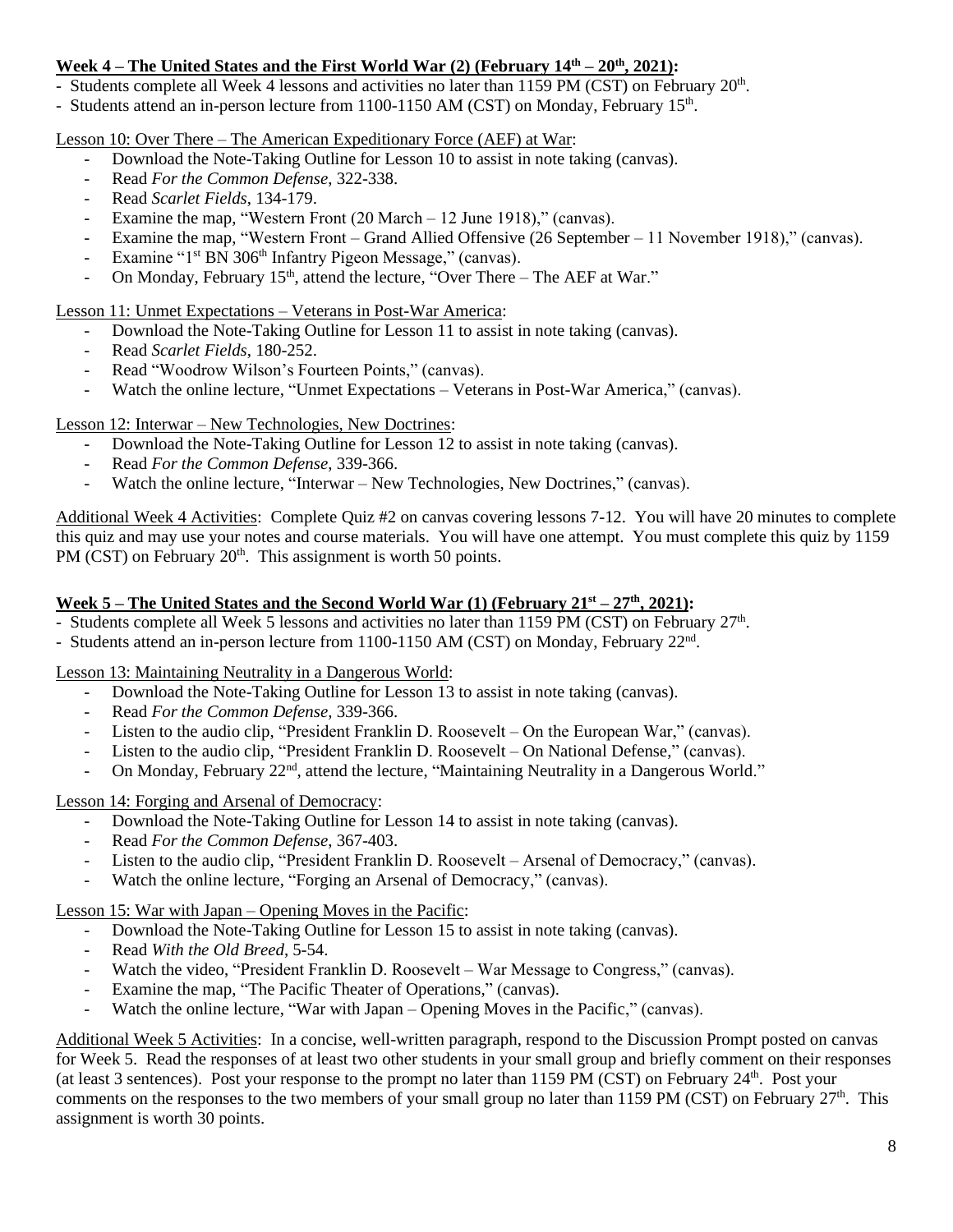## **Week 4 – The United States and the First World War (2) (February 14th – 20th, 2021):**

- Students complete all Week 4 lessons and activities no later than 1159 PM (CST) on February 20<sup>th</sup>.

- Students attend an in-person lecture from 1100-1150 AM (CST) on Monday, February 15<sup>th</sup>.

Lesson 10: Over There – The American Expeditionary Force (AEF) at War:

- Download the Note-Taking Outline for Lesson 10 to assist in note taking (canvas).
- Read *For the Common Defense*, 322-338.
- Read *Scarlet Fields*, 134-179.
- Examine the map, "Western Front  $(20 \text{ March} 12 \text{ June } 1918)$ ," (canvas).
- Examine the map, "Western Front Grand Allied Offensive (26 September 11 November 1918)," (canvas).
- Examine "1<sup>st</sup> BN 306<sup>th</sup> Infantry Pigeon Message," (canvas).
- On Monday, February 15<sup>th</sup>, attend the lecture, "Over There The AEF at War."

Lesson 11: Unmet Expectations – Veterans in Post-War America:

- Download the Note-Taking Outline for Lesson 11 to assist in note taking (canvas).
- Read *Scarlet Fields*, 180-252.
- Read "Woodrow Wilson's Fourteen Points," (canvas).
- Watch the online lecture, "Unmet Expectations Veterans in Post-War America," (canvas).

Lesson 12: Interwar – New Technologies, New Doctrines:

- Download the Note-Taking Outline for Lesson 12 to assist in note taking (canvas).
- Read *For the Common Defense*, 339-366.
- Watch the online lecture, "Interwar New Technologies, New Doctrines," (canvas).

Additional Week 4 Activities: Complete Quiz #2 on canvas covering lessons 7-12. You will have 20 minutes to complete this quiz and may use your notes and course materials. You will have one attempt. You must complete this quiz by 1159 PM (CST) on February  $20<sup>th</sup>$ . This assignment is worth 50 points.

### **Week 5 – The United States and the Second World War (1) (February 21st – 27th, 2021):**

- Students complete all Week 5 lessons and activities no later than 1159 PM (CST) on February 27<sup>th</sup>.
- Students attend an in-person lecture from 1100-1150 AM (CST) on Monday, February 22<sup>nd</sup>.

Lesson 13: Maintaining Neutrality in a Dangerous World:

- Download the Note-Taking Outline for Lesson 13 to assist in note taking (canvas).
- Read *For the Common Defense,* 339-366.
- Listen to the audio clip, "President Franklin D. Roosevelt On the European War," (canvas).
- Listen to the audio clip, "President Franklin D. Roosevelt On National Defense," (canvas).
- On Monday, February 22<sup>nd</sup>, attend the lecture, "Maintaining Neutrality in a Dangerous World."

Lesson 14: Forging and Arsenal of Democracy:

- Download the Note-Taking Outline for Lesson 14 to assist in note taking (canvas).
- Read *For the Common Defense*, 367-403.
- Listen to the audio clip, "President Franklin D. Roosevelt Arsenal of Democracy," (canvas).
- Watch the online lecture, "Forging an Arsenal of Democracy," (canvas).

Lesson 15: War with Japan – Opening Moves in the Pacific:

- Download the Note-Taking Outline for Lesson 15 to assist in note taking (canvas).
- Read *With the Old Breed*, 5-54.
- Watch the video, "President Franklin D. Roosevelt War Message to Congress," (canvas).
- Examine the map, "The Pacific Theater of Operations," (canvas).
- Watch the online lecture, "War with Japan Opening Moves in the Pacific," (canvas).

Additional Week 5 Activities: In a concise, well-written paragraph, respond to the Discussion Prompt posted on canvas for Week 5. Read the responses of at least two other students in your small group and briefly comment on their responses (at least 3 sentences). Post your response to the prompt no later than 1159 PM (CST) on February 24<sup>th</sup>. Post your comments on the responses to the two members of your small group no later than 1159 PM (CST) on February  $27<sup>th</sup>$ . This assignment is worth 30 points.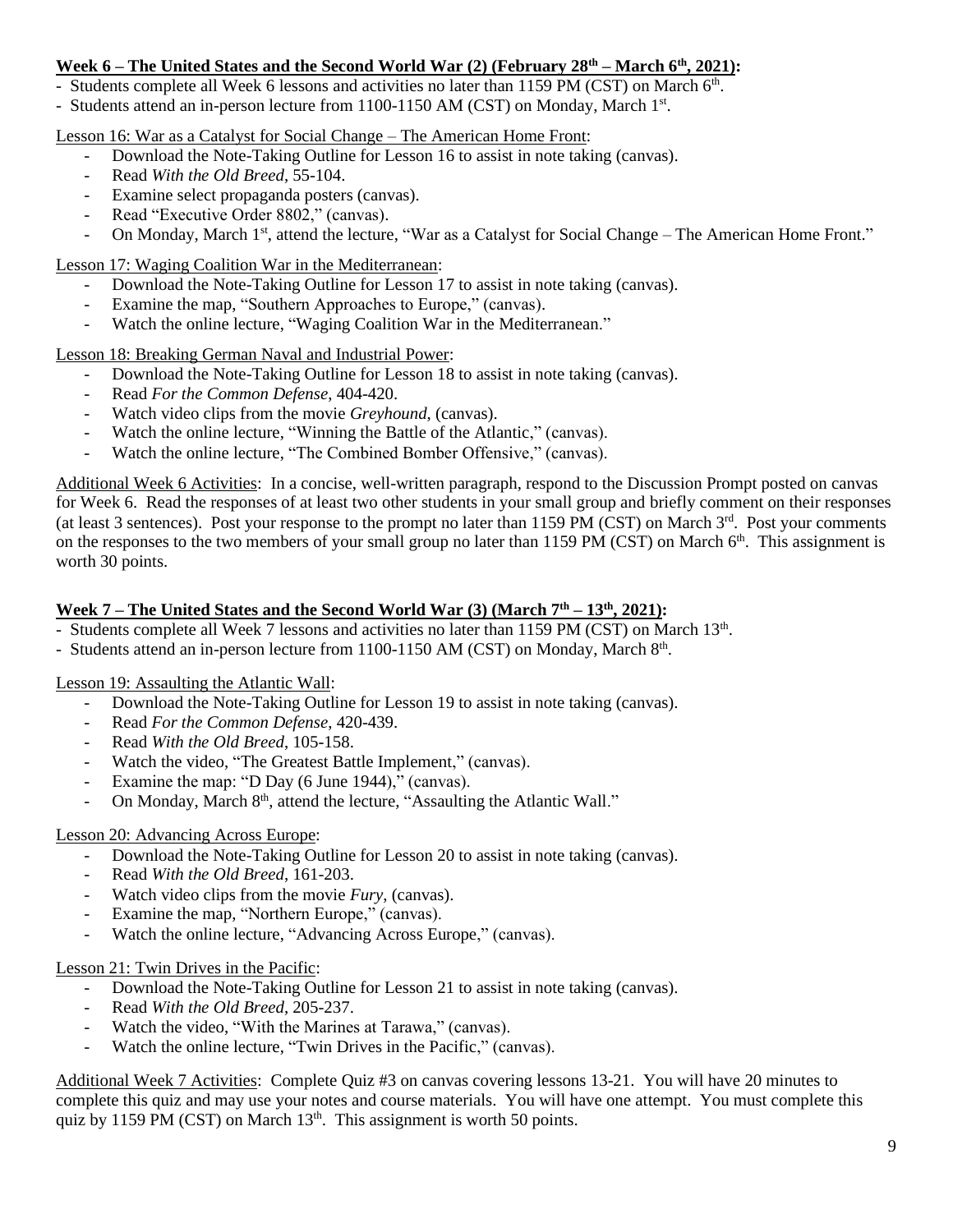### **Week 6 – The United States and the Second World War (2) (February 28th – March 6th, 2021):**

- Students complete all Week 6 lessons and activities no later than 1159 PM (CST) on March 6<sup>th</sup>.

- Students attend an in-person lecture from 1100-1150 AM (CST) on Monday, March 1st.

Lesson 16: War as a Catalyst for Social Change – The American Home Front:

- Download the Note-Taking Outline for Lesson 16 to assist in note taking (canvas).
- Read *With the Old Breed*, 55-104.
- Examine select propaganda posters (canvas).
- Read "Executive Order 8802," (canvas).
- On Monday, March 1<sup>st</sup>, attend the lecture, "War as a Catalyst for Social Change The American Home Front."

Lesson 17: Waging Coalition War in the Mediterranean:

- Download the Note-Taking Outline for Lesson 17 to assist in note taking (canvas).
- Examine the map, "Southern Approaches to Europe," (canvas).
- Watch the online lecture, "Waging Coalition War in the Mediterranean."

Lesson 18: Breaking German Naval and Industrial Power:

- Download the Note-Taking Outline for Lesson 18 to assist in note taking (canvas).
- Read *For the Common Defense*, 404-420.
- Watch video clips from the movie *Greyhound*, (canvas).
- Watch the online lecture, "Winning the Battle of the Atlantic," (canvas).
- Watch the online lecture, "The Combined Bomber Offensive," (canvas).

Additional Week 6 Activities: In a concise, well-written paragraph, respond to the Discussion Prompt posted on canvas for Week 6. Read the responses of at least two other students in your small group and briefly comment on their responses (at least 3 sentences). Post your response to the prompt no later than 1159 PM (CST) on March 3<sup>rd</sup>. Post your comments on the responses to the two members of your small group no later than 1159 PM (CST) on March 6<sup>th</sup>. This assignment is worth 30 points.

## **Week 7 – The United States and the Second World War (3) (March 7th – 13th, 2021):**

- Students complete all Week 7 lessons and activities no later than 1159 PM (CST) on March 13<sup>th</sup>.
- Students attend an in-person lecture from 1100-1150 AM (CST) on Monday, March 8th.

Lesson 19: Assaulting the Atlantic Wall:

- Download the Note-Taking Outline for Lesson 19 to assist in note taking (canvas).
- Read *For the Common Defense*, 420-439.
- Read With the Old Breed, 105-158.
- Watch the video, "The Greatest Battle Implement," (canvas).
- Examine the map: "D Day (6 June 1944)," (canvas).
- On Monday, March 8<sup>th</sup>, attend the lecture, "Assaulting the Atlantic Wall."

#### Lesson 20: Advancing Across Europe:

- Download the Note-Taking Outline for Lesson 20 to assist in note taking (canvas).
- Read *With the Old Breed*, 161-203.
- Watch video clips from the movie *Fury*, (canvas).
- Examine the map, "Northern Europe," (canvas).
- Watch the online lecture, "Advancing Across Europe," (canvas).

#### Lesson 21: Twin Drives in the Pacific:

- Download the Note-Taking Outline for Lesson 21 to assist in note taking (canvas).
- Read *With the Old Breed*, 205-237.
- Watch the video, "With the Marines at Tarawa," (canvas).
- Watch the online lecture, "Twin Drives in the Pacific," (canvas).

Additional Week 7 Activities: Complete Quiz #3 on canvas covering lessons 13-21. You will have 20 minutes to complete this quiz and may use your notes and course materials. You will have one attempt. You must complete this quiz by 1159 PM (CST) on March  $13<sup>th</sup>$ . This assignment is worth 50 points.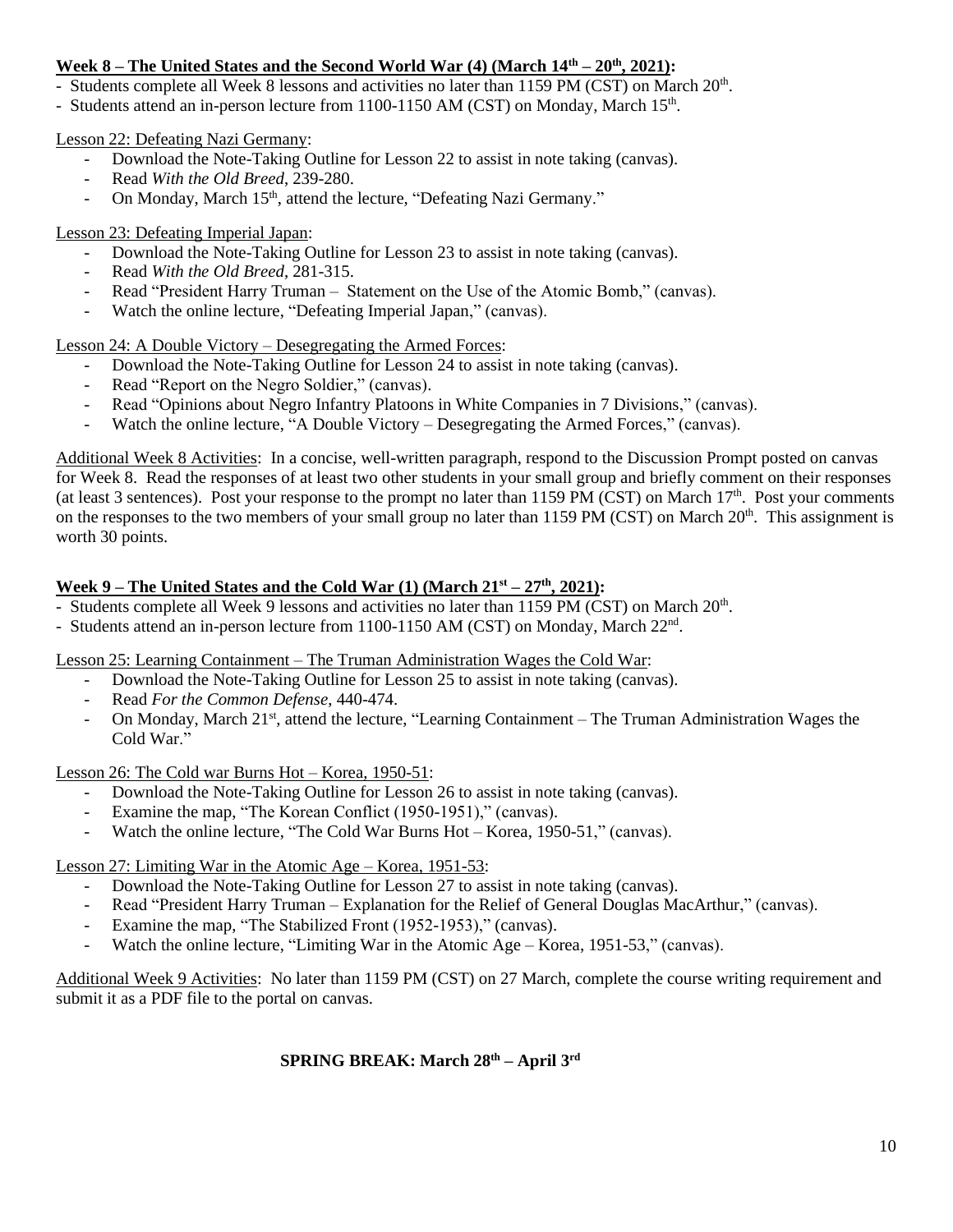## **Week 8 – The United States and the Second World War (4) (March 14th – 20th, 2021):**

- Students complete all Week 8 lessons and activities no later than 1159 PM (CST) on March 20<sup>th</sup>.

- Students attend an in-person lecture from 1100-1150 AM (CST) on Monday, March 15<sup>th</sup>.

#### Lesson 22: Defeating Nazi Germany:

- Download the Note-Taking Outline for Lesson 22 to assist in note taking (canvas).
- Read *With the Old Breed*, 239-280.
- On Monday, March 15<sup>th</sup>, attend the lecture, "Defeating Nazi Germany."

### Lesson 23: Defeating Imperial Japan:

- Download the Note-Taking Outline for Lesson 23 to assist in note taking (canvas).
- Read *With the Old Breed*, 281-315.
- Read "President Harry Truman Statement on the Use of the Atomic Bomb," (canvas).
- Watch the online lecture, "Defeating Imperial Japan," (canvas).

Lesson 24: A Double Victory – Desegregating the Armed Forces:

- Download the Note-Taking Outline for Lesson 24 to assist in note taking (canvas).
- Read "Report on the Negro Soldier," (canvas).
- Read "Opinions about Negro Infantry Platoons in White Companies in 7 Divisions," (canvas).
- Watch the online lecture, "A Double Victory Desegregating the Armed Forces," (canvas).

Additional Week 8 Activities: In a concise, well-written paragraph, respond to the Discussion Prompt posted on canvas for Week 8. Read the responses of at least two other students in your small group and briefly comment on their responses (at least 3 sentences). Post your response to the prompt no later than 1159 PM (CST) on March  $17<sup>th</sup>$ . Post your comments on the responses to the two members of your small group no later than 1159 PM (CST) on March  $20<sup>th</sup>$ . This assignment is worth 30 points.

### **Week 9 – The United States and the Cold War (1) (March 21st – 27 th, 2021):**

- Students complete all Week 9 lessons and activities no later than 1159 PM (CST) on March 20<sup>th</sup>.
- Students attend an in-person lecture from 1100-1150 AM (CST) on Monday, March 22<sup>nd</sup>.

Lesson 25: Learning Containment – The Truman Administration Wages the Cold War:

- Download the Note-Taking Outline for Lesson 25 to assist in note taking (canvas).
- Read *For the Common Defense*, 440-474.
- On Monday, March 21<sup>st</sup>, attend the lecture, "Learning Containment The Truman Administration Wages the Cold War."

Lesson 26: The Cold war Burns Hot – Korea, 1950-51:

- Download the Note-Taking Outline for Lesson 26 to assist in note taking (canvas).
- Examine the map, "The Korean Conflict (1950-1951)," (canvas).
- Watch the online lecture, "The Cold War Burns Hot Korea, 1950-51," (canvas).

Lesson 27: Limiting War in the Atomic Age – Korea, 1951-53:

- Download the Note-Taking Outline for Lesson 27 to assist in note taking (canvas).
- Read "President Harry Truman Explanation for the Relief of General Douglas MacArthur," (canvas).
- Examine the map, "The Stabilized Front (1952-1953)," (canvas).
- Watch the online lecture, "Limiting War in the Atomic Age Korea, 1951-53," (canvas).

Additional Week 9 Activities: No later than 1159 PM (CST) on 27 March, complete the course writing requirement and submit it as a PDF file to the portal on canvas.

#### **SPRING BREAK: March 28th – April 3rd**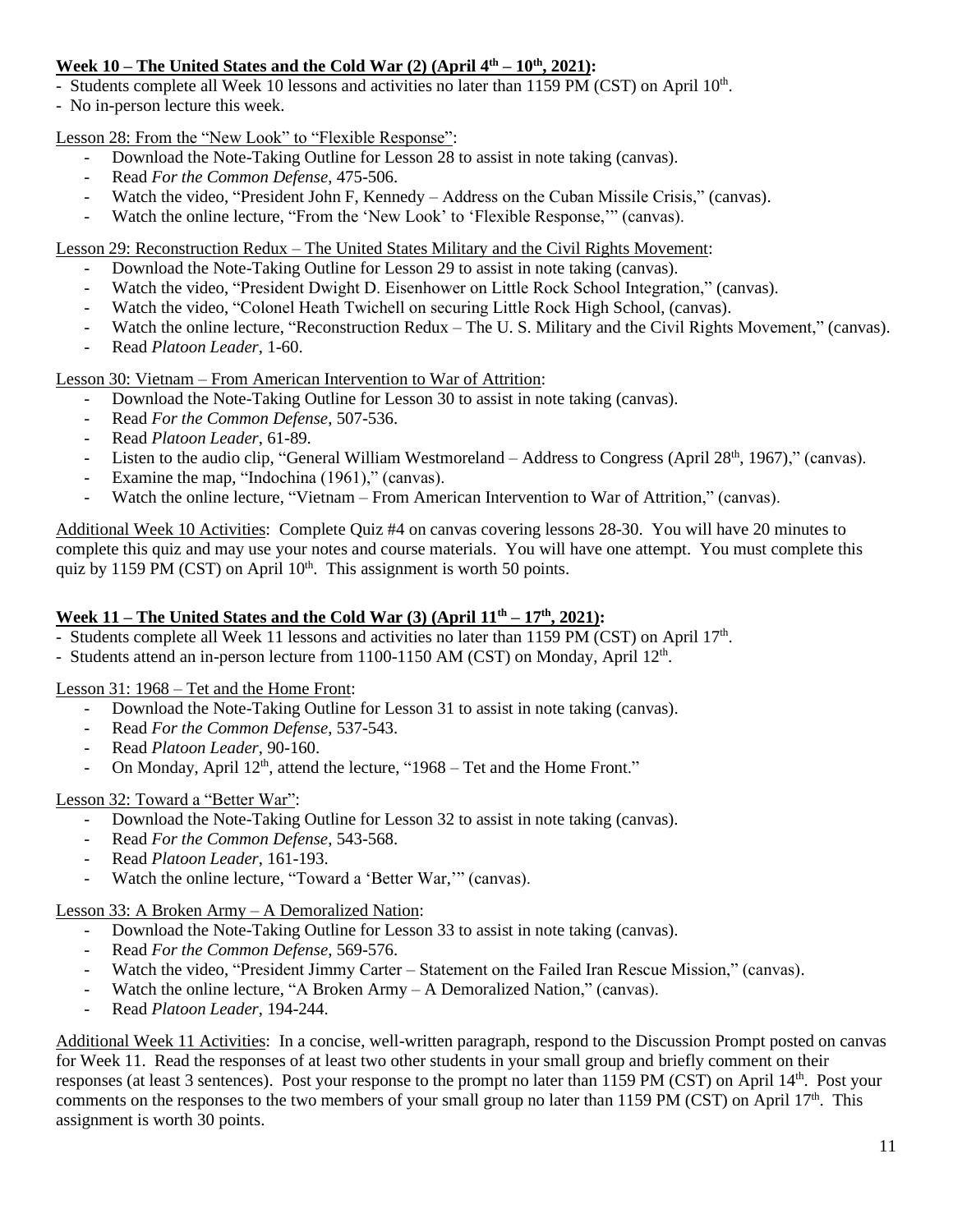## **Week 10 – The United States and the Cold War (2) (April**  $4^{\text{th}} - 10^{\text{th}}$ **, 2021):**

- Students complete all Week 10 lessons and activities no later than 1159 PM (CST) on April 10<sup>th</sup>.
- No in-person lecture this week.

Lesson 28: From the "New Look" to "Flexible Response":

- Download the Note-Taking Outline for Lesson 28 to assist in note taking (canvas).
- Read *For the Common Defense*, 475-506.
- Watch the video, "President John F, Kennedy Address on the Cuban Missile Crisis," (canvas).
- Watch the online lecture, "From the 'New Look' to 'Flexible Response," (canvas).

Lesson 29: Reconstruction Redux – The United States Military and the Civil Rights Movement:

- Download the Note-Taking Outline for Lesson 29 to assist in note taking (canvas).
- Watch the video, "President Dwight D. Eisenhower on Little Rock School Integration," (canvas).
- Watch the video, "Colonel Heath Twichell on securing Little Rock High School, (canvas).
- Watch the online lecture, "Reconstruction Redux The U.S. Military and the Civil Rights Movement," (canvas).
- Read *Platoon Leader*, 1-60.

## Lesson 30: Vietnam – From American Intervention to War of Attrition:

- Download the Note-Taking Outline for Lesson 30 to assist in note taking (canvas).
- Read *For the Common Defense*, 507-536.
- Read *Platoon Leader*, 61-89.
- Listen to the audio clip, "General William Westmoreland Address to Congress (April 28<sup>th</sup>, 1967)," (canvas).
- Examine the map, "Indochina (1961)," (canvas).
- Watch the online lecture, "Vietnam From American Intervention to War of Attrition," (canvas).

Additional Week 10 Activities: Complete Quiz #4 on canvas covering lessons 28-30. You will have 20 minutes to complete this quiz and may use your notes and course materials. You will have one attempt. You must complete this quiz by 1159 PM (CST) on April  $10<sup>th</sup>$ . This assignment is worth 50 points.

### **Week 11 – The United States and the Cold War (3) (April 11th – 17th, 2021):**

- Students complete all Week 11 lessons and activities no later than 1159 PM (CST) on April 17<sup>th</sup>.
- Students attend an in-person lecture from 1100-1150 AM (CST) on Monday, April 12<sup>th</sup>.

Lesson 31: 1968 – Tet and the Home Front:

- Download the Note-Taking Outline for Lesson 31 to assist in note taking (canvas).
- Read *For the Common Defense*, 537-543.
- Read *Platoon Leader*, 90-160.
- On Monday, April 12<sup>th</sup>, attend the lecture, "1968 Tet and the Home Front."

## Lesson 32: Toward a "Better War":

- Download the Note-Taking Outline for Lesson 32 to assist in note taking (canvas).
- Read *For the Common Defense*, 543-568.
- Read *Platoon Leader*, 161-193.
- Watch the online lecture, "Toward a 'Better War," (canvas).

Lesson 33: A Broken Army – A Demoralized Nation:

- Download the Note-Taking Outline for Lesson 33 to assist in note taking (canvas).
- Read For the Common Defense, 569-576.
- Watch the video, "President Jimmy Carter Statement on the Failed Iran Rescue Mission," (canvas).
- Watch the online lecture, "A Broken Army A Demoralized Nation," (canvas).
- Read *Platoon Leader*, 194-244.

Additional Week 11 Activities: In a concise, well-written paragraph, respond to the Discussion Prompt posted on canvas for Week 11. Read the responses of at least two other students in your small group and briefly comment on their responses (at least 3 sentences). Post your response to the prompt no later than 1159 PM (CST) on April 14<sup>th</sup>. Post your comments on the responses to the two members of your small group no later than 1159 PM (CST) on April 17<sup>th</sup>. This assignment is worth 30 points.